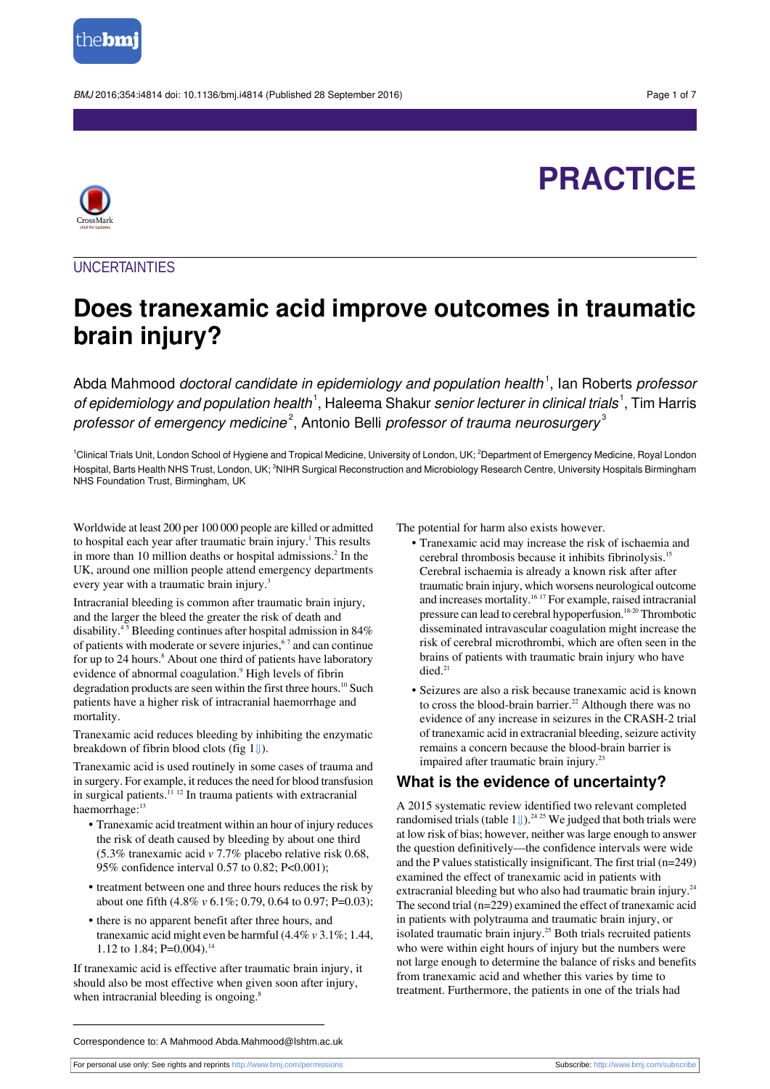

BMJ 2016;354:i4814 doi: 10.1136/bmj.i4814 (Published 28 September 2016) Page 1 of 7

# **PRACTICE**



#### **UNCERTAINTIES**

## **Does tranexamic acid improve outcomes in traumatic brain injury?**

Abda Mahmood *doctoral candidate in epidemiology and population health* <sup>1</sup>, Ian Roberts *professor of epidemiology and population health*  $^1$ , Haleema Shakur *senior lecturer in clinical trials*  $^1$ , Tim Harris *professor of emergency medicine* $^2$ , Antonio Belli *professor of trauma neurosurgery* $^3$ 

<sup>1</sup>Clinical Trials Unit, London School of Hygiene and Tropical Medicine, University of London, UK; <sup>2</sup>Department of Emergency Medicine, Royal London Hospital, Barts Health NHS Trust, London, UK; <sup>3</sup>NIHR Surgical Reconstruction and Microbiology Research Centre, University Hospitals Birmingham NHS Foundation Trust, Birmingham, UK

Worldwide at least 200 per 100 000 people are killed or admitted to hospital each year after traumatic brain injury.<sup>1</sup> This results in more than 10 million deaths or hospital admissions.<sup>2</sup> In the UK, around one million people attend emergency departments every year with a traumatic brain injury.<sup>3</sup>

Intracranial bleeding is common after traumatic brain injury, and the larger the bleed the greater the risk of death and disability.<sup>4</sup> <sup>5</sup> Bleeding continues after hospital admission in 84% of patients with moderate or severe injuries,<sup>67</sup> and can continue for up to 24 hours.<sup>8</sup> About one third of patients have laboratory evidence of abnormal coagulation.<sup>9</sup> High levels of fibrin degradation products are seen within the first three hours.<sup>10</sup> Such patients have a higher risk of intracranial haemorrhage and mortality.

Tranexamic acid reduces bleeding by inhibiting the enzymatic breakdown of fibrin blood clots (fig [1⇓](#page-6-0)).

Tranexamic acid is used routinely in some cases of trauma and in surgery. For example, it reduces the need for blood transfusion in surgical patients.<sup>11 12</sup> In trauma patients with extracranial haemorrhage:<sup>13</sup>

- **•** Tranexamic acid treatment within an hour of injury reduces the risk of death caused by bleeding by about one third (5.3% tranexamic acid *v* 7.7% placebo relative risk 0.68, 95% confidence interval 0.57 to 0.82; P<0.001);
- **•** treatment between one and three hours reduces the risk by about one fifth (4.8% *v* 6.1%; 0.79, 0.64 to 0.97; P=0.03);
- **•** there is no apparent benefit after three hours, and tranexamic acid might even be harmful (4.4% *v* 3.1%; 1.44, 1.12 to 1.84; P=0.004).<sup>14</sup>

If tranexamic acid is effective after traumatic brain injury, it should also be most effective when given soon after injury, when intracranial bleeding is ongoing.<sup>8</sup>

The potential for harm also exists however.

- **•** Tranexamic acid may increase the risk of ischaemia and cerebral thrombosis because it inhibits fibrinolysis.<sup>15</sup> Cerebral ischaemia is already a known risk after after traumatic brain injury, which worsens neurological outcome and increases mortality.<sup>16</sup> <sup>17</sup> For example, raised intracranial pressure can lead to cerebral hypoperfusion.<sup>18-20</sup> Thrombotic disseminated intravascular coagulation might increase the risk of cerebral microthrombi, which are often seen in the brains of patients with traumatic brain injury who have died.<sup>21</sup>
- **•** Seizures are also a risk because tranexamic acid is known to cross the blood-brain barrier.<sup>22</sup> Although there was no evidence of any increase in seizures in the CRASH-2 trial of tranexamic acid in extracranial bleeding, seizure activity remains a concern because the blood-brain barrier is impaired after traumatic brain injury.<sup>2</sup>

## **What is the evidence of uncertainty?**

A 2015 systematic review identified two relevant completed randomised trials (table  $1\sqrt{24 \cdot 25}$  We judged that both trials were at low risk of bias; however, neither waslarge enough to answer the question definitively—the confidence intervals were wide and the P values statistically insignificant. The first trial  $(n=249)$ examined the effect of tranexamic acid in patients with extracranial bleeding but who also had traumatic brain injury.<sup>24</sup> The second trial (n=229) examined the effect of tranexamic acid in patients with polytrauma and traumatic brain injury, or isolated traumatic brain injury.<sup>25</sup> Both trials recruited patients who were within eight hours of injury but the numbers were not large enough to determine the balance of risks and benefits from tranexamic acid and whether this varies by time to treatment. Furthermore, the patients in one of the trials had

Correspondence to: A Mahmood Abda.Mahmood@lshtm.ac.uk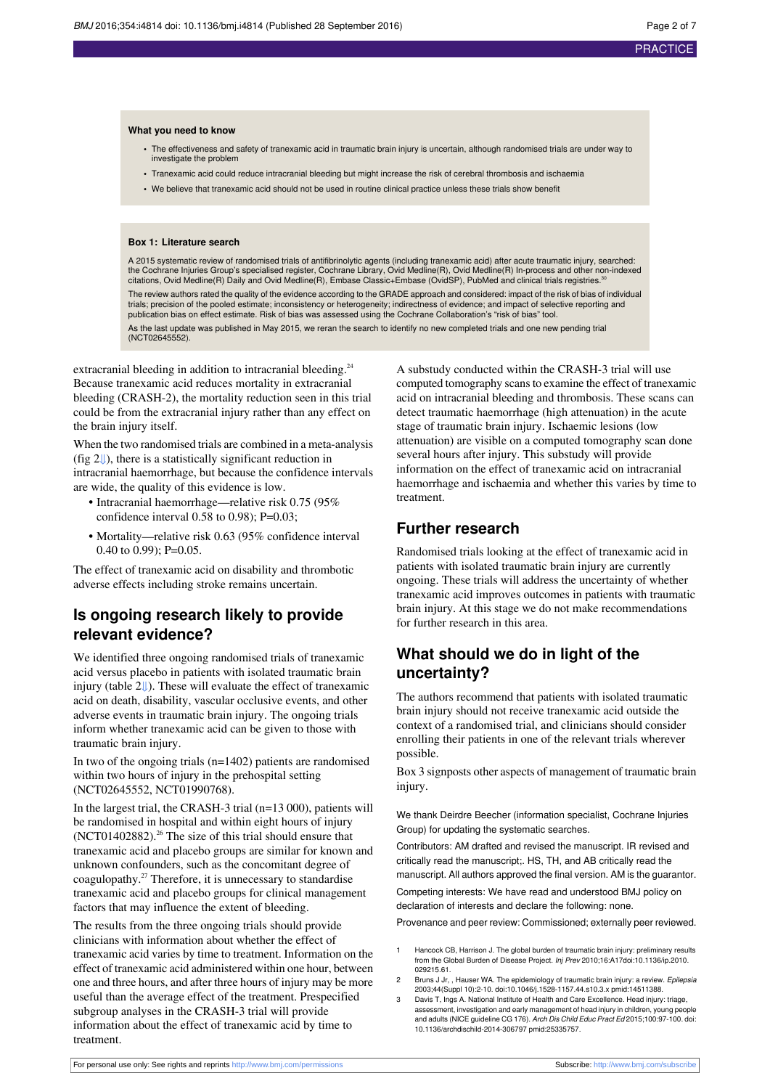#### **What you need to know**

- **•** The effectiveness and safety of tranexamic acid in traumatic brain injury is uncertain, although randomised trials are under way to investigate the problem
- **•** Tranexamic acid could reduce intracranial bleeding but might increase the risk of cerebral thrombosis and ischaemia
- **•** We believe that tranexamic acid should not be used in routine clinical practice unless these trials show benefit

#### **Box 1: Literature search**

A 2015 systematic review of randomised trials of antifibrinolytic agents (including tranexamic acid) after acute traumatic injury, searched: the Cochrane Injuries Group's specialised register, Cochrane Library, Ovid Medline(R), Ovid Medline(R) In-process and other non-indexed<br>citations, Ovid Medline(R) Daily and Ovid Medline(R), Embase Classic+Embase (OvidSP),

The review authors rated the quality of the evidence according to the GRADE approach and considered: impact of the risk of bias of individual trials; precision of the pooled estimate; inconsistency or heterogeneity; indirectness of evidence; and impact of selective reporting and publication bias on effect estimate. Risk of bias was assessed using the Cochrane Collaboration's "risk of bias" tool.

As the last update was published in May 2015, we reran the search to identify no new completed trials and one new pending trial (NCT02645552).

extracranial bleeding in addition to intracranial bleeding.<sup>24</sup> Because tranexamic acid reduces mortality in extracranial bleeding (CRASH-2), the mortality reduction seen in this trial could be from the extracranial injury rather than any effect on the brain injury itself.

When the two randomised trials are combined in a meta-analysis (fig [2⇓](#page-6-1)), there is a statistically significant reduction in intracranial haemorrhage, but because the confidence intervals are wide, the quality of this evidence is low.

- **•** Intracranial haemorrhage—relative risk 0.75 (95% confidence interval 0.58 to 0.98); P=0.03;
- **•** Mortality—relative risk 0.63 (95% confidence interval 0.40 to 0.99);  $P=0.05$ .

The effect of tranexamic acid on disability and thrombotic adverse effects including stroke remains uncertain.

## **Is ongoing research likely to provide relevant evidence?**

We identified three ongoing randomised trials of tranexamic acid versus placebo in patients with isolated traumatic brain injury (table [2⇓](#page-5-0)). These will evaluate the effect of tranexamic acid on death, disability, vascular occlusive events, and other adverse events in traumatic brain injury. The ongoing trials inform whether tranexamic acid can be given to those with traumatic brain injury.

In two of the ongoing trials  $(n=1402)$  patients are randomised within two hours of injury in the prehospital setting (NCT02645552, NCT01990768).

In the largest trial, the CRASH-3 trial (n=13 000), patients will be randomised in hospital and within eight hours of injury (NCT01402882).<sup>26</sup> The size of this trial should ensure that tranexamic acid and placebo groups are similar for known and unknown confounders, such as the concomitant degree of coagulopathy.<sup>27</sup> Therefore, it is unnecessary to standardise tranexamic acid and placebo groups for clinical management factors that may influence the extent of bleeding.

The results from the three ongoing trials should provide clinicians with information about whether the effect of tranexamic acid varies by time to treatment. Information on the effect of tranexamic acid administered within one hour, between one and three hours, and after three hours of injury may be more useful than the average effect of the treatment. Prespecified subgroup analyses in the CRASH-3 trial will provide information about the effect of tranexamic acid by time to treatment.

A substudy conducted within the CRASH-3 trial will use computed tomography scans to examine the effect of tranexamic acid on intracranial bleeding and thrombosis. These scans can detect traumatic haemorrhage (high attenuation) in the acute stage of traumatic brain injury. Ischaemic lesions (low attenuation) are visible on a computed tomography scan done several hours after injury. This substudy will provide information on the effect of tranexamic acid on intracranial haemorrhage and ischaemia and whether this varies by time to treatment.

#### **Further research**

Randomised trials looking at the effect of tranexamic acid in patients with isolated traumatic brain injury are currently ongoing. These trials will address the uncertainty of whether tranexamic acid improves outcomes in patients with traumatic brain injury. At this stage we do not make recommendations for further research in this area.

## **What should we do in light of the uncertainty?**

The authors recommend that patients with isolated traumatic brain injury should not receive tranexamic acid outside the context of a randomised trial, and clinicians should consider enrolling their patients in one of the relevant trials wherever possible.

Box 3 signposts other aspects of management of traumatic brain injury.

We thank Deirdre Beecher (information specialist, Cochrane Injuries Group) for updating the systematic searches.

Contributors: AM drafted and revised the manuscript. IR revised and critically read the manuscript;. HS, TH, and AB critically read the manuscript. All authors approved the final version. AM is the guarantor. Competing interests: We have read and understood BMJ policy on declaration of interests and declare the following: none.

Provenance and peer review: Commissioned; externally peer reviewed.

- Hancock CB, Harrison J. The global burden of traumatic brain injury: preliminary results from the Global Burden of Disease Project. Inj Prev 2010;16:A17[doi:10.1136/ip.2010.](http://dx.doi.org/10.1136/ip.2010.029215.61) [029215.61](http://dx.doi.org/10.1136/ip.2010.029215.61).
- 2 Bruns J Jr, , Hauser WA. The epidemiology of traumatic brain injury: a review. Epilepsia 2003;44(Suppl 10):2-10. [doi:10.1046/j.1528-1157.44.s10.3.x](http://dx.doi.org/10.1046/j.1528-1157.44.s10.3.x) [pmid:14511388.](http://www.ncbi.nlm.nih.gov/pubmed/?term=14511388)
- Davis T, Ings A. National Institute of Health and Care Excellence. Head injury: triage, assessment, investigation and early management of head injury in children, young pe and adults (NICE guideline CG 176). Arch Dis Child Educ Pract Ed 2015;100:97-100. [doi:](http://dx.doi.org/10.1136/archdischild-2014-306797) [10.1136/archdischild-2014-306797](http://dx.doi.org/10.1136/archdischild-2014-306797) [pmid:25335757.](http://www.ncbi.nlm.nih.gov/pubmed/?term=25335757)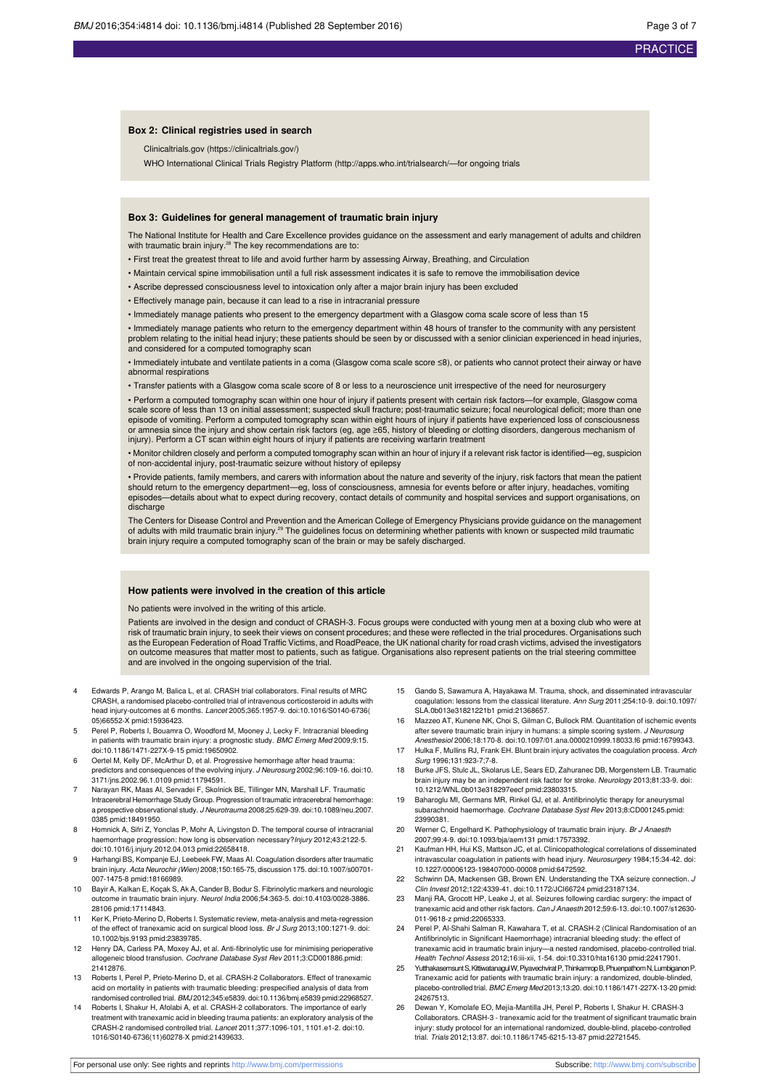#### **Box 2: Clinical registries used in search**

Clinicaltrials.gov (https://clinicaltrials.gov/)

WHO International Clinical Trials Registry Platform ([http://apps.who.int/trialsearch/—f](http://apps.who.int/trialsearch/)or ongoing trials

#### **Box 3: Guidelines for general management of traumatic brain injury**

The National Institute for Health and Care Excellence provides guidance on the assessment and early management of adults and children with traumatic brain injury.<sup>28</sup> The key recommendations are to:

• First treat the greatest threat to life and avoid further harm by assessing Airway, Breathing, and Circulation

- Maintain cervical spine immobilisation until a full risk assessment indicates it is safe to remove the immobilisation device
- Ascribe depressed consciousness level to intoxication only after a major brain injury has been excluded
- Effectively manage pain, because it can lead to a rise in intracranial pressure
- Immediately manage patients who present to the emergency department with a Glasgow coma scale score of less than 15

• Immediately manage patients who return to the emergency department within 48 hours of transfer to the community with any persistent problem relating to the initial head injury; these patients should be seen by or discussed with a senior clinician experienced in head injuries, and considered for a computed tomography scan

• Immediately intubate and ventilate patients in a coma (Glasgow coma scale score ≤8), or patients who cannot protect their airway or have abnormal respirations

• Transfer patients with a Glasgow coma scale score of 8 or less to a neuroscience unit irrespective of the need for neurosurgery

• Perform a computed tomography scan within one hour of injury if patients present with certain risk factors—for example, Glasgow coma<br>scale score of less than 13 on initial assessment; suspected skull fracture; post-traum episode of vomiting. Perform a computed tomography scan within eight hours of injury if patients have experienced loss of consciousness or amnesia since the injury and show certain risk factors (eg, age ≥65, history of bleeding or clotting disorders, dangerous mechanism of injury). Perform a CT scan within eight hours of injury if patients are receiving warfarin treatment

• Monitor children closely and perform a computed tomography scan within an hour of injury if a relevant risk factor is identified—eg, suspicion of non-accidental injury, post-traumatic seizure without history of epilepsy

• Provide patients, family members, and carers with information about the nature and severity of the injury, risk factors that mean the patient should return to the emergency department—eg, loss of consciousness, amnesia for events before or after injury, headaches, vomiting<br>episodes—details about what to expect during recovery, contact details of community and ho discharge

The Centers for Disease Control and Prevention and the American College of Emergency Physicians provide guidance on the management of adults with mild traumatic brain injury.<sup>29</sup> The guidelines focus on determining whether patients with known or suspected mild traumatic<br>brain injury require a computed tomography scan of the brain or may be safely disc

#### **How patients were involved in the creation of this article**

No patients were involved in the writing of this article.

Patients are involved in the design and conduct of CRASH-3. Focus groups were conducted with young men at a boxing club who were at<br>risk of traumatic brain injury, to seek their views on consent procedures; and these were as the European Federation of Road Traffic Victims, and RoadPeace, the UK national charity for road crash victims, advised the investigators on outcome measures that matter most to patients, such as fatigue. Organisations also represent patients on the trial steering committee and are involved in the ongoing supervision of the trial.

- 4 Edwards P, Arango M, Balica L, et al. CRASH trial collaborators. Final results of MRC CRASH, a randomised placebo-controlled trial of intravenous corticosteroid in adults with head injury-outcomes at 6 months. Lancet 2005;365:1957-9. [doi:10.1016/S0140-6736\(](http://dx.doi.org/10.1016/S0140-6736(05)66552-X) [05\)66552-X](http://dx.doi.org/10.1016/S0140-6736(05)66552-X) [pmid:15936423.](http://www.ncbi.nlm.nih.gov/pubmed/?term=15936423)
- 5 Perel P, Roberts I, Bouamra O, Woodford M, Mooney J, Lecky F. Intracranial bleeding in patients with traumatic brain injury: a prognostic study. BMC Emerg Med 2009;9:15. [doi:10.1186/1471-227X-9-15](http://dx.doi.org/10.1186/1471-227X-9-15) [pmid:19650902.](http://www.ncbi.nlm.nih.gov/pubmed/?term=19650902)
- 6 Oertel M, Kelly DF, McArthur D, et al. Progressive hemorrhage after head trauma: predictors and consequences of the evolving injury. J Neurosurg 2002;96:109-16. [doi:10.](http://dx.doi.org/10.3171/jns.2002.96.1.0109) [3171/jns.2002.96.1.0109](http://dx.doi.org/10.3171/jns.2002.96.1.0109) [pmid:11794591](http://www.ncbi.nlm.nih.gov/pubmed/?term=11794591).
- 7 Narayan RK, Maas AI, Servadei F, Skolnick BE, Tillinger MN, Marshall LF. Traumatic Intracerebral Hemorrhage Study Group. Progression of traumatic intracerebral hemorrhage: a prospective observational study. J Neurotrauma 2008;25:629-39. [doi:10.1089/neu.2007.](http://dx.doi.org/10.1089/neu.2007.0385) [0385](http://dx.doi.org/10.1089/neu.2007.0385) [pmid:18491950.](http://www.ncbi.nlm.nih.gov/pubmed/?term=18491950)
- 8 Homnick A, Sifri Z, Yonclas P, Mohr A, Livingston D. The temporal course of intracranial haemorrhage progression: how long is observation necessary?Injury 2012;43:2122-5. [doi:10.1016/j.injury.2012.04.013](http://dx.doi.org/10.1016/j.injury.2012.04.013) [pmid:22658418](http://www.ncbi.nlm.nih.gov/pubmed/?term=22658418).
- 9 Harhangi BS, Kompanje EJ, Leebeek FW, Maas AI. Coagulation disorders after traumatic brain injury. Acta Neurochir (Wien) 2008;150:165-75, discussion 175. [doi:10.1007/s00701-](http://dx.doi.org/10.1007/s00701-007-1475-8) [007-1475-8](http://dx.doi.org/10.1007/s00701-007-1475-8) [pmid:18166989.](http://www.ncbi.nlm.nih.gov/pubmed/?term=18166989)
- 10 Bayir A, Kalkan E, Koçak S, Ak A, Cander B, Bodur S. Fibrinolytic markers and neurologic outcome in traumatic brain injury. Neurol India 2006;54:363-5. [doi:10.4103/0028-3886.](http://dx.doi.org/10.4103/0028-3886.28106) [28106](http://dx.doi.org/10.4103/0028-3886.28106) [pmid:17114843.](http://www.ncbi.nlm.nih.gov/pubmed/?term=17114843)
- 11 Ker K, Prieto-Merino D, Roberts I. Systematic review, meta-analysis and meta-regression of the effect of tranexamic acid on surgical blood loss. Br J Surg 2013;100:1271-9. [doi:](http://dx.doi.org/10.1002/bjs.9193) [10.1002/bjs.9193](http://dx.doi.org/10.1002/bjs.9193) [pmid:23839785](http://www.ncbi.nlm.nih.gov/pubmed/?term=23839785).
- 12 Henry DA, Carless PA, Moxey AJ, et al. Anti-fibrinolytic use for minimising perioperative allogeneic blood transfusion. Cochrane Database Syst Rev 2011;3:CD001886.[pmid:](http://www.ncbi.nlm.nih.gov/pubmed/?term=21412876) [21412876.](http://www.ncbi.nlm.nih.gov/pubmed/?term=21412876)
- 13 Roberts I, Perel P, Prieto-Merino D, et al. CRASH-2 Collaborators. Effect of tranexamic acid on mortality in patients with traumatic bleeding: prespecified analysis of data from randomised controlled trial. BMJ 2012;345:e5839. [doi:10.1136/bmj.e5839](http://dx.doi.org/10.1136/bmj.e5839) [pmid:22968527](http://www.ncbi.nlm.nih.gov/pubmed/?term=22968527).
- 14 Roberts I, Shakur H, Afolabi A, et al. CRASH-2 collaborators. The importance of early treatment with tranexamic acid in bleeding trauma patients: an exploratory analysis of the CRASH-2 randomised controlled trial. Lancet 2011;377:1096-101, 1101.e1-2. [doi:10.](http://dx.doi.org/10.1016/S0140-6736(11)60278-X) [1016/S0140-6736\(11\)60278-X](http://dx.doi.org/10.1016/S0140-6736(11)60278-X) [pmid:21439633](http://www.ncbi.nlm.nih.gov/pubmed/?term=21439633).
- 15 Gando S, Sawamura A, Hayakawa M. Trauma, shock, and disseminated intravascular coagulation: lessons from the classical literature. Ann Surg 2011;254:10-9. [doi:10.1097/](http://dx.doi.org/10.1097/SLA.0b013e31821221b1) [SLA.0b013e31821221b1](http://dx.doi.org/10.1097/SLA.0b013e31821221b1) [pmid:21368657](http://www.ncbi.nlm.nih.gov/pubmed/?term=21368657).
- 16 Mazzeo AT, Kunene NK, Choi S, Gilman C, Bullock RM. Quantitation of ischemic events after severe traumatic brain injury in humans: a simple scoring system. J Neurosurg Anesthesiol 2006;18:170-8. [doi:10.1097/01.ana.0000210999.18033.f6](http://dx.doi.org/10.1097/01.ana.0000210999.18033.f6) [pmid:16799343.](http://www.ncbi.nlm.nih.gov/pubmed/?term=16799343)
- 17 Hulka F, Mullins RJ, Frank EH. Blunt brain injury activates the coagulation process. Arch Surg 1996;131:923-7;7-8.
- 18 Burke JFS, Stulc JL, Skolarus LE, Sears ED, Zahuranec DB, Morgenstern LB. Traumatic brain injury may be an independent risk factor for stroke. Neurology 2013;81:33-9. [doi:](http://dx.doi.org/10.1212/WNL.0b013e318297eecf) [10.1212/WNL.0b013e318297eecf](http://dx.doi.org/10.1212/WNL.0b013e318297eecf) [pmid:23803315](http://www.ncbi.nlm.nih.gov/pubmed/?term=23803315).
- 19 Baharoglu MI, Germans MR, Rinkel GJ, et al. Antifibrinolytic therapy for aneurysmal subarachnoid haemorrhage. Cochrane Database Syst Rev 2013;8:CD001245.[pmid:](http://www.ncbi.nlm.nih.gov/pubmed/?term=23990381) [23990381.](http://www.ncbi.nlm.nih.gov/pubmed/?term=23990381)
- 20 Werner C, Engelhard K. Pathophysiology of traumatic brain injury. Br J Anaesth 2007;99:4-9. [doi:10.1093/bja/aem131](http://dx.doi.org/10.1093/bja/aem131) [pmid:17573392.](http://www.ncbi.nlm.nih.gov/pubmed/?term=17573392)
- 21 Kaufman HH, Hui KS, Mattson JC, et al. Clinicopathological correlations of disseminated intravascular coagulation in patients with head injury. Neurosurgery 1984;15:34-42. [doi:](http://dx.doi.org/10.1227/00006123-198407000-00008) [10.1227/00006123-198407000-00008](http://dx.doi.org/10.1227/00006123-198407000-00008) [pmid:6472592](http://www.ncbi.nlm.nih.gov/pubmed/?term=6472592).
- Schwinn DA, Mackensen GB, Brown EN. Understanding the TXA seizure connection. J Clin Invest 2012;122:4339-41. [doi:10.1172/JCI66724](http://dx.doi.org/10.1172/JCI66724) [pmid:23187134.](http://www.ncbi.nlm.nih.gov/pubmed/?term=23187134)
- 23 Manji RA, Grocott HP, Leake J, et al. Seizures following cardiac surgery: the impact of tranexamic acid and other risk factors. Can J Anaesth 2012;59:6-13. [doi:10.1007/s12630-](http://dx.doi.org/10.1007/s12630-011-9618-z) [011-9618-z](http://dx.doi.org/10.1007/s12630-011-9618-z) [pmid:22065333.](http://www.ncbi.nlm.nih.gov/pubmed/?term=22065333)
- 24 Perel P, Al-Shahi Salman R, Kawahara T, et al. CRASH-2 (Clinical Randomisation of an Antifibrinolytic in Significant Haemorrhage) intracranial bleeding study: the effect of tranexamic acid in traumatic brain injury—a nested randomised, placebo-controlled trial. Health Technol Assess 2012;16:iii-xii, 1-54. [doi:10.3310/hta16130](http://dx.doi.org/10.3310/hta16130) [pmid:22417901.](http://www.ncbi.nlm.nih.gov/pubmed/?term=22417901)
- 25 Yutthakasemsunt S, Kittiwatanagul W, Piyavechvirat P, Thinkamrop B, Phuenpathom N, Lumbiganon P. Tranexamic acid for patients with traumatic brain injury: a randomized, double-blinded, placebo-controlled trial. BMC Emerg Med 2013;13:20. [doi:10.1186/1471-227X-13-20](http://dx.doi.org/10.1186/1471-227X-13-20) [pmid:](http://www.ncbi.nlm.nih.gov/pubmed/?term=24267513) [24267513.](http://www.ncbi.nlm.nih.gov/pubmed/?term=24267513)
- 26 Dewan Y, Komolafe EO, Mejía-Mantilla JH, Perel P, Roberts I, Shakur H. CRASH-3 Collaborators. CRASH-3 - tranexamic acid for the treatment of significant traumatic brain injury: study protocol for an international randomized, double-blind, placebo-controlled trial. Trials 2012;13:87. [doi:10.1186/1745-6215-13-87](http://dx.doi.org/10.1186/1745-6215-13-87) [pmid:22721545](http://www.ncbi.nlm.nih.gov/pubmed/?term=22721545).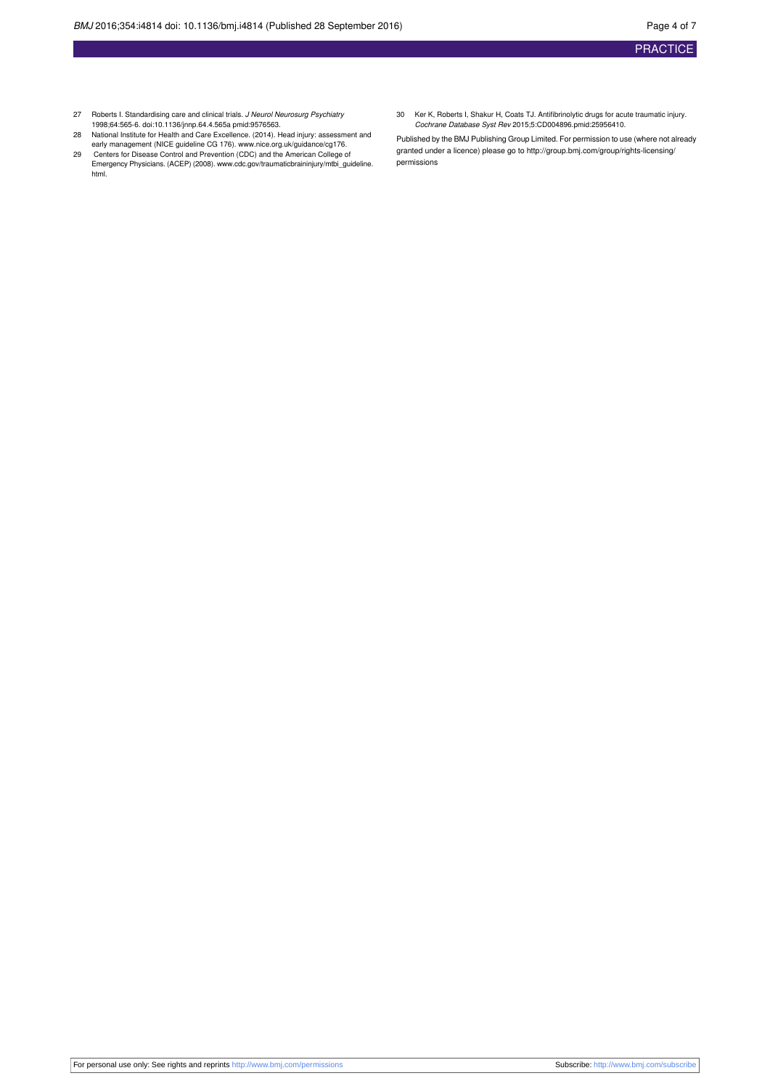- 27 Roberts I. Standardising care and clinical trials. J Neurol Neurosurg Psychiatry 1998;64:565-6. [doi:10.1136/jnnp.64.4.565a](http://dx.doi.org/10.1136/jnnp.64.4.565a) [pmid:9576563.](http://www.ncbi.nlm.nih.gov/pubmed/?term=9576563)
- 28 National Institute for Health and Care Excellence. (2014). Head injury: assessment and early management (NICE guideline CG 176). [www.nice.org.uk/guidance/cg176.](http://www.nice.org.uk/guidance/cg176)
- 29 Centers for Disease Control and Prevention (CDC) and the American College of Emergency Physicians. (ACEP) (2008). [www.cdc.gov/traumaticbraininjury/mtbi\\_guideline.](http://www.cdc.gov/traumaticbraininjury/mtbi_guideline.html) [html.](http://www.cdc.gov/traumaticbraininjury/mtbi_guideline.html)
- 30 Ker K, Roberts I, Shakur H, Coats TJ. Antifibrinolytic drugs for acute traumatic injury. Cochrane Database Syst Rev 2015;5:CD004896.[pmid:25956410](http://www.ncbi.nlm.nih.gov/pubmed/?term=25956410).

Published by the BMJ Publishing Group Limited. For permission to use (where not already granted under a licence) please go to [http://group.bmj.com/group/rights-licensing/](http://group.bmj.com/group/rights-licensing/permissions) [permissions](http://group.bmj.com/group/rights-licensing/permissions)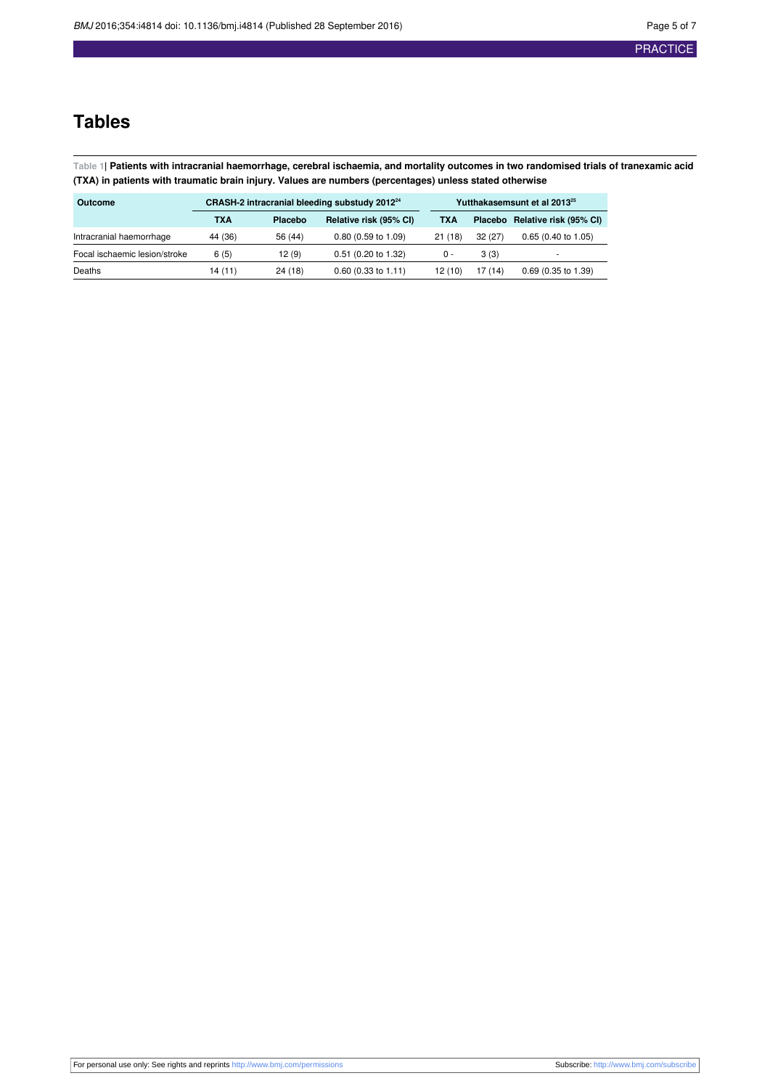## **Tables**

<span id="page-4-0"></span>Table 1| Patients with intracranial haemorrhage, cerebral ischaemia, and mortality outcomes in two randomised trials of tranexamic acid **(TXA) in patients with traumatic brain injury. Values are numbers (percentages) unless stated otherwise**

| Outcome                       | CRASH-2 intracranial bleeding substudy 2012 <sup>24</sup> |                                   |                       | Yutthakasemsunt et al 2013 <sup>25</sup> |         |                                |  |  |
|-------------------------------|-----------------------------------------------------------|-----------------------------------|-----------------------|------------------------------------------|---------|--------------------------------|--|--|
|                               | TXA                                                       | Relative risk (95% CI)<br>Placebo |                       | TXA                                      |         | Placebo Relative risk (95% CI) |  |  |
| Intracranial haemorrhage      | 44 (36)                                                   | 56 (44)                           | $0.80$ (0.59 to 1.09) | 21(18)                                   | 32(27)  | $0.65(0.40 \text{ to } 1.05)$  |  |  |
| Focal ischaemic lesion/stroke | 6(5)                                                      | 12(9)                             | $0.51$ (0.20 to 1.32) | 0 -                                      | 3(3)    |                                |  |  |
| Deaths                        | 14 (11)                                                   | 24 (18)                           | $0.60$ (0.33 to 1.11) | 12(10)                                   | 17 (14) | $0.69$ (0.35 to 1.39)          |  |  |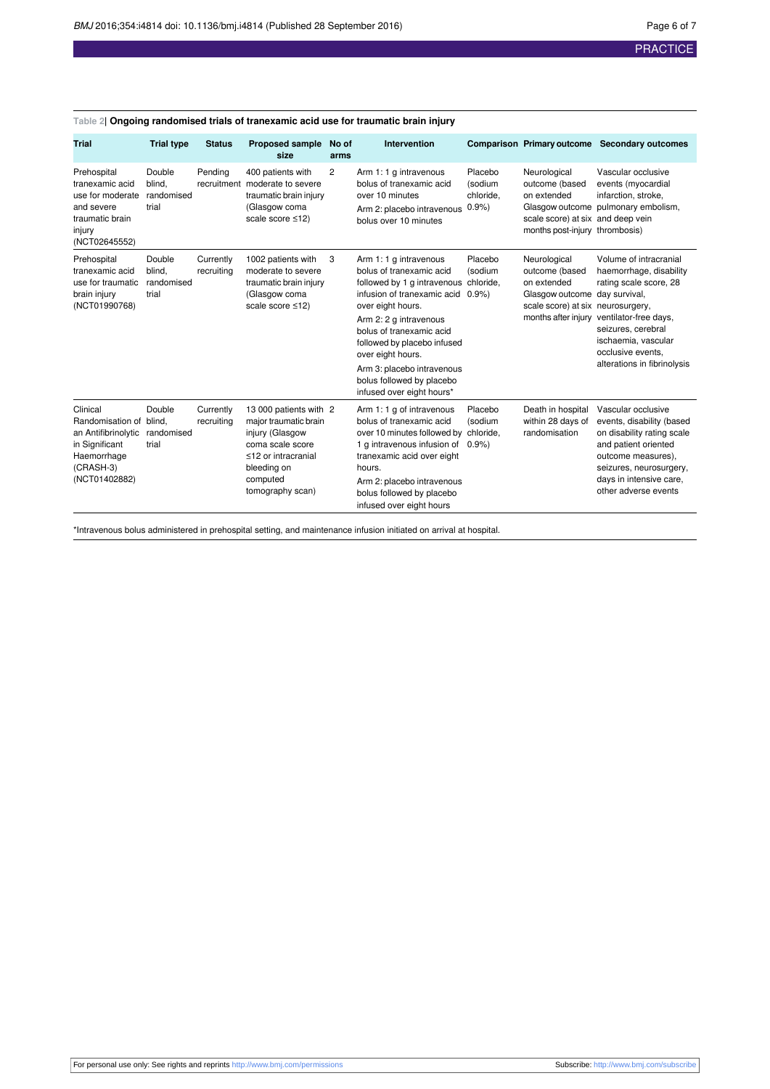| <b>Trial</b>                                                                                                       | <b>Trial type</b>                       | <b>Status</b>           | <b>Proposed sample</b><br>size                                                                                                                               | No of<br>arms  | Intervention                                                                                                                                                                                                                                                                                                                                            |                                         | <b>Comparison Primary outcome</b>                                                                                            | <b>Secondary outcomes</b>                                                                                                                                                                                              |
|--------------------------------------------------------------------------------------------------------------------|-----------------------------------------|-------------------------|--------------------------------------------------------------------------------------------------------------------------------------------------------------|----------------|---------------------------------------------------------------------------------------------------------------------------------------------------------------------------------------------------------------------------------------------------------------------------------------------------------------------------------------------------------|-----------------------------------------|------------------------------------------------------------------------------------------------------------------------------|------------------------------------------------------------------------------------------------------------------------------------------------------------------------------------------------------------------------|
| Prehospital<br>tranexamic acid<br>use for moderate<br>and severe<br>traumatic brain<br>injury<br>(NCT02645552)     | Double<br>blind.<br>randomised<br>trial | Pending                 | 400 patients with<br>recruitment moderate to severe<br>traumatic brain injury<br>(Glasgow coma<br>scale score ≤12)                                           | $\overline{2}$ | Arm 1: 1 g intravenous<br>bolus of tranexamic acid<br>over 10 minutes<br>Arm 2: placebo intravenous<br>bolus over 10 minutes                                                                                                                                                                                                                            | Placebo<br>(sodium<br>chloride,<br>0.9% | Neurological<br>outcome (based<br>on extended<br>scale score) at six and deep vein<br>months post-injury thrombosis)         | Vascular occlusive<br>events (myocardial<br>infarction, stroke,<br>Glasgow outcome pulmonary embolism,                                                                                                                 |
| Prehospital<br>tranexamic acid<br>use for traumatic<br>brain injury<br>(NCT01990768)                               | Double<br>blind.<br>randomised<br>trial | Currently<br>recruiting | 1002 patients with<br>moderate to severe<br>traumatic brain injury<br>(Glasgow coma<br>scale score ≤12)                                                      | 3              | Arm 1: 1 g intravenous<br>bolus of tranexamic acid<br>followed by 1 g intravenous chloride,<br>infusion of tranexamic acid 0.9%)<br>over eight hours.<br>Arm 2: 2 g intravenous<br>bolus of tranexamic acid<br>followed by placebo infused<br>over eight hours.<br>Arm 3: placebo intravenous<br>bolus followed by placebo<br>infused over eight hours* | Placebo<br>(sodium                      | Neurological<br>outcome (based<br>on extended<br>Glasgow outcome<br>scale score) at six neurosurgery,<br>months after injury | Volume of intracranial<br>haemorrhage, disability<br>rating scale score, 28<br>day survival,<br>ventilator-free days,<br>seizures, cerebral<br>ischaemia, vascular<br>occlusive events.<br>alterations in fibrinolysis |
| Clinical<br>Randomisation of<br>an Antifibrinolytic<br>in Significant<br>Haemorrhage<br>(CRASH-3)<br>(NCT01402882) | Double<br>blind.<br>randomised<br>trial | Currently<br>recruiting | 13 000 patients with 2<br>major traumatic brain<br>injury (Glasgow<br>coma scale score<br><12 or intracranial<br>bleeding on<br>computed<br>tomography scan) |                | Arm 1: 1 g of intravenous<br>bolus of tranexamic acid<br>over 10 minutes followed by chloride,<br>1 g intravenous infusion of<br>tranexamic acid over eight<br>hours.<br>Arm 2: placebo intravenous<br>bolus followed by placebo<br>infused over eight hours                                                                                            | Placebo<br>(sodium<br>0.9%              | Death in hospital<br>within 28 days of<br>randomisation                                                                      | Vascular occlusive<br>events, disability (based<br>on disability rating scale<br>and patient oriented<br>outcome measures).<br>seizures, neurosurgery,<br>days in intensive care,<br>other adverse events              |

<span id="page-5-0"></span>**Table 2| Ongoing randomised trials of tranexamic acid use for traumatic brain injury**

\*Intravenous bolus administered in prehospital setting, and maintenance infusion initiated on arrival at hospital.